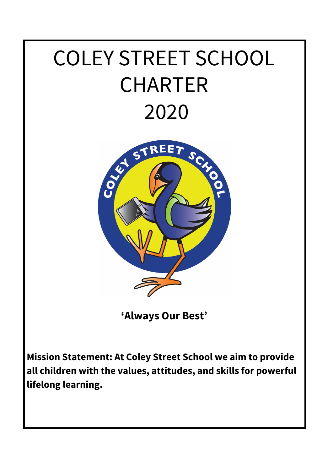# COLEY STREET SCHOOL CHARTER 2020



**'Always Our Best'**

**Mission Statement: At Coley Street School we aim to provide all children with the values, attitudes, and skills for powerful lifelong learning.**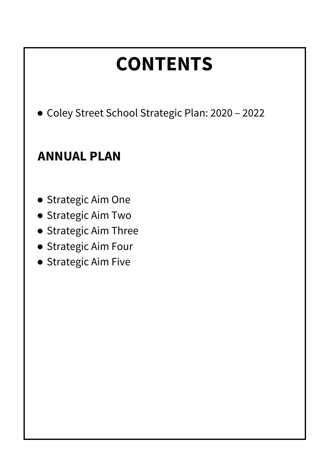# **CONTENTS** ● Coley Street School Strategic Plan: 2020 – 2022 **ANNUAL PLAN** ● Strategic Aim One ● Strategic Aim Two ● Strategic Aim Three ● Strategic Aim Four

● Strategic Aim Five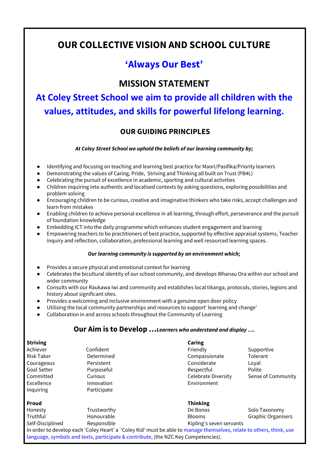## **OUR COLLECTIVE VISION AND SCHOOL CULTURE**

## **'Always Our Best'**

#### **MISSION STATEMENT**

**At Coley Street School we aim to provide all children with the values, attitudes, and skills for powerful lifelong learning.**

#### **OUR GUIDING PRINCIPLES**

*At Coley Street School we uphold the beliefs of our learning community by;*

- Identifying and focusing on teaching and learning best practice for Maori/Pasifika/Priority learners
- Demonstrating the values of Caring, Pride, Striving and Thinking all built on Trust (PB4L)
- Celebrating the pursuit of excellence in academic, sporting and cultural activities
- Children inquiring into authentic and localised contexts by asking questions, exploring possibilities and problem solving
- Encouraging children to be curious, creative and imaginative thinkers who take risks, accept challenges and learn from mistakes
- Enabling children to achieve personal excellence in all learning, through effort, perseverance and the pursuit of foundation knowledge
- Embedding ICT into the daily programme which enhances student engagement and learning
- Empowering teachers to be practitioners of best practice, supported by effective appraisal systems, Teacher inquiry and reflection, collaboration, professional learning and well resourced learning spaces.

#### *Our learning community is supported by an environment which;*

- Provides a secure physical and emotional context for learning
- Celebrates the bicultural identity of our school community, and develops Whanau Ora within our school and wider community
- Consults with our Raukawa Iwi and community and establishes local tikanga, protocols, stories, legions and history about significant sites.
- Provides a welcoming and inclusive environment with a genuine open door policy
- Utilising the local community partnerships and resources to support' learning and change'
- Collaboration in and across schools throughout the Community of Learning

#### **Our Aim is to Develop …***Learners who understand and display ….*

| <b>Striving</b>    |                                                                                    | Caring                                                                                                               |                           |
|--------------------|------------------------------------------------------------------------------------|----------------------------------------------------------------------------------------------------------------------|---------------------------|
| Achiever           | Confident                                                                          | Friendly                                                                                                             | Supportive                |
| <b>Risk Taker</b>  | Determined                                                                         | Compassionate                                                                                                        | Tolerant                  |
| Courageous         | Persistent                                                                         | Considerate                                                                                                          | Loval                     |
| <b>Goal Setter</b> | Purposeful                                                                         | Respectful                                                                                                           | Polite                    |
| Committed          | Curious                                                                            | Celebrate Diversity                                                                                                  | Sense of Community        |
| Excellence         | Innovation                                                                         | Environment                                                                                                          |                           |
| Inquiring          | Participate                                                                        |                                                                                                                      |                           |
| <b>Proud</b>       |                                                                                    | <b>Thinking</b>                                                                                                      |                           |
| Honesty            | Trustworthy                                                                        | De Bonos                                                                                                             | Solo Taxonomy             |
| Truthful           | Honourable                                                                         | <b>Blooms</b>                                                                                                        | <b>Graphic Organisers</b> |
| Self-Disciplined   | Responsible                                                                        | Kipling's seven servants                                                                                             |                           |
|                    |                                                                                    | In order to develop each 'Coley Heart' a 'Coley Kid' must be able to manage themselves, relate to others, think, use |                           |
|                    | language, symbols and texts, participate & contribute, (the NZC Key Competencies). |                                                                                                                      |                           |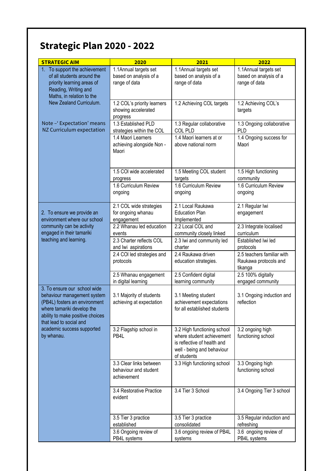## **Strategic Plan 2020 - 2022**

| <b>STRATEGIC AIM</b>                                                                                                                                                                      | 2020                                                             | 2021                                                                                                                                 | 2022                                                             |
|-------------------------------------------------------------------------------------------------------------------------------------------------------------------------------------------|------------------------------------------------------------------|--------------------------------------------------------------------------------------------------------------------------------------|------------------------------------------------------------------|
| 1. To support the achievement<br>of all students around the<br>priority learning areas of<br>Reading, Writing and<br>Maths, in relation to the                                            | 1.1Annual targets set<br>based on analysis of a<br>range of data | 1.1Annual targets set<br>based on analysis of a<br>range of data                                                                     | 1.1Annual targets set<br>based on analysis of a<br>range of data |
| New Zealand Curriculum.                                                                                                                                                                   | 1.2 COL's priority learners<br>showing accelerated<br>progress   | 1.2 Achieving COL targets                                                                                                            | 1.2 Achieving COL's<br>targets                                   |
| Note - 'Expectation' means<br>NZ Curriculum expectation                                                                                                                                   | 1.3 Established PLD<br>strategies within the COL                 | 1.3 Regular collaborative<br><b>COL PLD</b>                                                                                          | 1.3 Ongoing collaborative<br>PLD                                 |
|                                                                                                                                                                                           | 1.4 Maori Learners<br>achieving alongside Non -<br>Maori         | 1.4 Maori learners at or<br>above national norm                                                                                      | 1.4 Ongoing success for<br>Maori                                 |
|                                                                                                                                                                                           | 1.5 COI wide accelerated<br>progress                             | 1.5 Meeting COL student<br>targets                                                                                                   | 1.5 High functioning<br>community                                |
|                                                                                                                                                                                           | 1.6 Curriculum Review<br>ongoing                                 | 1.6 Curriculum Review<br>ongoing                                                                                                     | 1.6 Curriculum Review<br>ongoing                                 |
| 2. To ensure we provide an<br>environment where our school                                                                                                                                | 2.1 COL wide strategies<br>for ongoing whanau<br>engagement      | 2.1 Local Raukawa<br><b>Education Plan</b><br>Implemented                                                                            | 2.1 Regular Iwi<br>engagement                                    |
| community can be activity<br>engaged in their tamariki                                                                                                                                    | 2.2 Whanau led education<br>events                               | 2.2 Local COL and<br>community closely linked                                                                                        | 2.3 Integrate localised<br>curriculum                            |
| teaching and learning.                                                                                                                                                                    | 2.3 Charter reflects COL<br>and lwi aspirations                  | 2.3 Iwi and community led<br>charter                                                                                                 | Established Iwi led<br>protocols                                 |
|                                                                                                                                                                                           | 2.4 COI led strategies and<br>protocols                          | 2.4 Raukawa driven<br>education strategies.                                                                                          | 2.5 teachers familiar with<br>Raukawa protocols and<br>tikanga   |
|                                                                                                                                                                                           | 2.5 Whanau engagement<br>in digital learning                     | 2.5 Confident digital<br>learning community                                                                                          | 2.5 100% digitally<br>engaged community                          |
| 3. To ensure our school wide<br>behaviour management system<br>(PB4L) fosters an environment<br>where tamariki develop the<br>ability to make positive choices<br>that lead to social and | 3.1 Majority of students<br>achieving at expectation             | 3.1 Meeting student<br>achievement expectations<br>for all established students                                                      | 3.1 Ongoing induction and<br>reflection                          |
| academic success supported<br>by whanau.                                                                                                                                                  | 3.2 Flagship school in<br>PB4L                                   | 3.2 High functioning school<br>where student achievement<br>is reflective of health and<br>well - being and behaviour<br>of students | 3.2 ongoing high<br>functioning school                           |
|                                                                                                                                                                                           | 3.3 Clear links between<br>behaviour and student<br>achievement  | 3.3 High functioning school                                                                                                          | 3.3 Ongoing high<br>functioning school                           |
|                                                                                                                                                                                           | 3.4 Restorative Practice<br>evident                              | 3.4 Tier 3 School                                                                                                                    | 3.4 Ongoing Tier 3 school                                        |
|                                                                                                                                                                                           | 3.5 Tier 3 practice<br>established                               | 3.5 Tier 3 practice<br>consolidated                                                                                                  | 3.5 Regular induction and<br>refreshing                          |
|                                                                                                                                                                                           | 3.6 Ongoing review of<br>PB4L systems                            | 3.6 ongoing review of PB4L<br>systems                                                                                                | 3.6 ongoing review of<br>PB4L systems                            |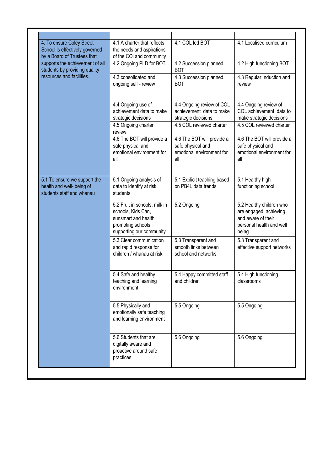| 4.1 A charter that reflects<br>the needs and aspirations<br>of the COI and community                                        | 4.1 COL led BOT                                                                     | 4.1 Localised curriculum                                                                                      |
|-----------------------------------------------------------------------------------------------------------------------------|-------------------------------------------------------------------------------------|---------------------------------------------------------------------------------------------------------------|
| 4.2 Ongoing PLD for BOT                                                                                                     | 4.2 Succession planned<br><b>BOT</b>                                                | 4.2 High functioning BOT                                                                                      |
| 4.3 consolidated and<br>ongoing self - review                                                                               | 4.3 Succession planned<br><b>BOT</b>                                                | 4.3 Regular Induction and<br>review                                                                           |
| 4.4 Ongoing use of<br>achievement data to make<br>strategic decisions                                                       | 4.4 Ongoing review of COL<br>achievement data to make<br>strategic decisions        | 4.4 Ongoing review of<br>COL achievement data to<br>make strategic decisions                                  |
| review                                                                                                                      |                                                                                     | 4.5 COL reviewed charter                                                                                      |
| 4.6 The BOT will provide a<br>safe physical and<br>emotional environment for<br>all                                         | 4.6 The BOT will provide a<br>safe physical and<br>emotional environment for<br>all | 4.6 The BOT will provide a<br>safe physical and<br>emotional environment for<br>all                           |
| 5.1 Ongoing analysis of<br>data to identify at risk<br>students                                                             | 5.1 Explicit teaching based<br>on PB4L data trends                                  | 5.1 Healthy high<br>functioning school                                                                        |
| 5.2 Fruit in schools, milk in<br>schools, Kids Can,<br>sunsmart and health<br>promoting schools<br>supporting our community | 5.2 Ongoing                                                                         | 5.2 Healthy children who<br>are engaged, achieving<br>and aware of their<br>personal health and well<br>being |
| 5.3 Clear communication<br>and rapid response for<br>children / whanau at risk                                              | 5.3 Transparent and<br>smooth links between<br>school and networks                  | 5.3 Transparent and<br>effective support networks                                                             |
| 5.4 Safe and healthy<br>teaching and learning<br>environment                                                                | 5.4 Happy committed staff<br>and children                                           | 5.4 High functioning<br>classrooms                                                                            |
| 5.5 Physically and<br>emotionally safe teaching<br>and learning environment                                                 | 5.5 Ongoing                                                                         | 5.5 Ongoing                                                                                                   |
| 5.6 Students that are<br>digitally aware and<br>proactive around safe<br>practices                                          | 5.6 Ongoing                                                                         | 5.6 Ongoing                                                                                                   |
|                                                                                                                             | 4.5 Ongoing charter                                                                 | 4.5 COL reviewed charter                                                                                      |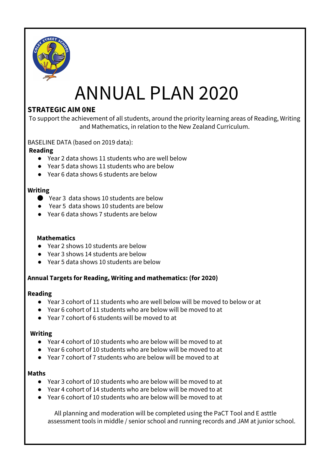

## ANNUAL PLAN 2020

#### **STRATEGIC AIM 0NE**

To support the achievement of all students, around the priority learning areas of Reading, Writing and Mathematics, in relation to the New Zealand Curriculum.

BASELINE DATA (based on 2019 data):

#### **Reading**

- Year 2 data shows 11 students who are well below
- Year 5 data shows 11 students who are below
- Year 6 data shows 6 students are below

#### **Writing**

- Year 3 data shows 10 students are below
- Year 5 data shows 10 students are below
- Year 6 data shows 7 students are below

#### **Mathematics**

- Year 2 shows 10 students are below
- Year 3 shows 14 students are below
- Year 5 data shows 10 students are below

#### **Annual Targets for Reading, Writing and mathematics: (for 2020)**

#### **Reading**

- Year 3 cohort of 11 students who are well below will be moved to below or at
- Year 6 cohort of 11 students who are below will be moved to at
- Year 7 cohort of 6 students will be moved to at

#### **Writing**

- Year 4 cohort of 10 students who are below will be moved to at
- Year 6 cohort of 10 students who are below will be moved to at
- Year 7 cohort of 7 students who are below will be moved to at

#### **Maths**

- Year 3 cohort of 10 students who are below will be moved to at
- Year 4 cohort of 14 students who are below will be moved to at
- Year 6 cohort of 10 students who are below will be moved to at

All planning and moderation will be completed using the PaCT Tool and E asttle assessment tools in middle / senior school and running records and JAM at junior school.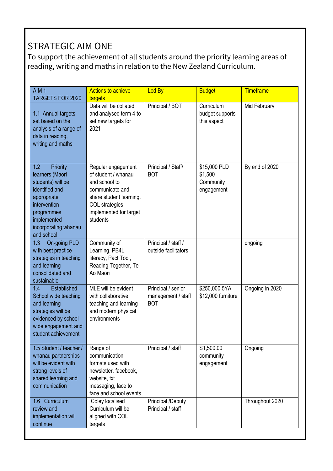## STRATEGIC AIM ONE

To support the achievement of all students around the priority learning areas of reading, writing and maths in relation to the New Zealand Curriculum.

| AIM <sub>1</sub><br><b>TARGETS FOR 2020</b>                                                                                                                                 | <b>Actions to achieve</b><br>targets                                                                                                                             | <b>Led By</b>                                          | <b>Budget</b>                                      | <b>Timeframe</b> |
|-----------------------------------------------------------------------------------------------------------------------------------------------------------------------------|------------------------------------------------------------------------------------------------------------------------------------------------------------------|--------------------------------------------------------|----------------------------------------------------|------------------|
| 1.1 Annual targets<br>set based on the<br>analysis of a range of<br>data in reading,<br>writing and maths                                                                   | Data will be collated<br>and analysed term 4 to<br>set new targets for<br>2021                                                                                   | Principal / BOT                                        | Curriculum<br>budget supports<br>this aspect       | Mid February     |
| 1.2<br>Priority<br>learners (Maori<br>students) will be<br>identified and<br>appropriate<br>intervention<br>programmes<br>implemented<br>incorporating whanau<br>and school | Regular engagement<br>of student / whanau<br>and school to<br>communicate and<br>share student learning.<br>COL strategies<br>implemented for target<br>students | Principal / Staff/<br><b>BOT</b>                       | \$15,000 PLD<br>\$1,500<br>Community<br>engagement | By end of 2020   |
| On-going PLD<br>1.3<br>with best practice<br>strategies in teaching<br>and learning<br>consolidated and<br>sustainable                                                      | Community of<br>Learning, PB4L,<br>literacy, Pact Tool,<br>Reading Together, Te<br>Ao Maori                                                                      | Principal / staff /<br>outside facilitators            |                                                    | ongoing          |
| Established<br>1.4<br>School wide teaching<br>and learning<br>strategies will be<br>evidenced by school<br>wide engagement and<br>student achievement                       | MLE will be evident<br>with collaborative<br>teaching and learning<br>and modern physical<br>environments                                                        | Principal / senior<br>management / staff<br><b>BOT</b> | \$250,000 5YA<br>\$12,000 furniture                | Ongoing in 2020  |
| 1.5 Student / teacher /<br>whanau partnerships<br>will be evident with<br>strong levels of<br>shared learning and<br>communication                                          | Range of<br>communication<br>formats used with<br>newsletter, facebook,<br>website, txt<br>messaging, face to<br>face and school events                          | Principal / staff                                      | S1,500.00<br>community<br>engagement               | Ongoing          |
| 1.6 Curriculum<br>review and<br>implementation will<br>continue                                                                                                             | Coley localised<br>Curriculum will be<br>aligned with COL<br>targets                                                                                             | <b>Principal /Deputy</b><br>Principal / staff          |                                                    | Throughout 2020  |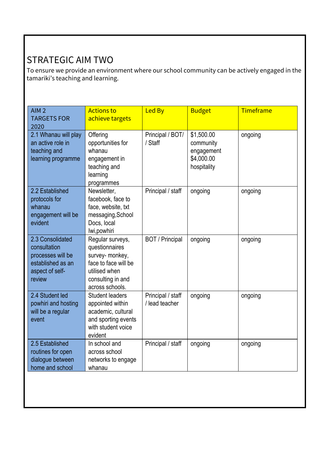## STRATEGIC AIM TWO

To ensure we provide an environment where our school community can be actively engaged in the tamariki's teaching and learning.

| Offering<br>Principal / BOT/<br>\$1,500.00<br>2.1 Whanau will play<br>ongoing<br>opportunities for<br>/ Staff<br>an active role in<br>community<br>teaching and<br>whanau<br>engagement<br>\$4,000.00<br>learning programme<br>engagement in<br>teaching and<br>hospitality<br>learning<br>programmes<br>2.2 Established<br>Principal / staff<br>Newsletter,<br>ongoing<br>ongoing<br>protocols for<br>facebook, face to<br>whanau<br>face, website, txt<br>engagement will be<br>messaging, School<br>evident<br>Docs, local<br>Iwi, powhiri<br>2.3 Consolidated<br>Regular surveys,<br><b>BOT</b> / Principal<br>ongoing<br>ongoing<br>questionnaires<br>consultation<br>survey- monkey,<br>processes will be<br>face to face will be<br>established as an<br>utilised when<br>aspect of self-<br>review<br>consulting in and |  |
|---------------------------------------------------------------------------------------------------------------------------------------------------------------------------------------------------------------------------------------------------------------------------------------------------------------------------------------------------------------------------------------------------------------------------------------------------------------------------------------------------------------------------------------------------------------------------------------------------------------------------------------------------------------------------------------------------------------------------------------------------------------------------------------------------------------------------------|--|
|                                                                                                                                                                                                                                                                                                                                                                                                                                                                                                                                                                                                                                                                                                                                                                                                                                 |  |
|                                                                                                                                                                                                                                                                                                                                                                                                                                                                                                                                                                                                                                                                                                                                                                                                                                 |  |
| across schools.                                                                                                                                                                                                                                                                                                                                                                                                                                                                                                                                                                                                                                                                                                                                                                                                                 |  |
| 2.4 Student led<br>Principal / staff<br><b>Student leaders</b><br>ongoing<br>ongoing<br>powhiri and hosting<br>/ lead teacher<br>appointed within<br>will be a regular<br>academic, cultural<br>and sporting events<br>event<br>with student voice<br>evident                                                                                                                                                                                                                                                                                                                                                                                                                                                                                                                                                                   |  |
| 2.5 Established<br>In school and<br>Principal / staff<br>ongoing<br>ongoing<br>routines for open<br>across school<br>dialogue between<br>networks to engage<br>home and school<br>whanau                                                                                                                                                                                                                                                                                                                                                                                                                                                                                                                                                                                                                                        |  |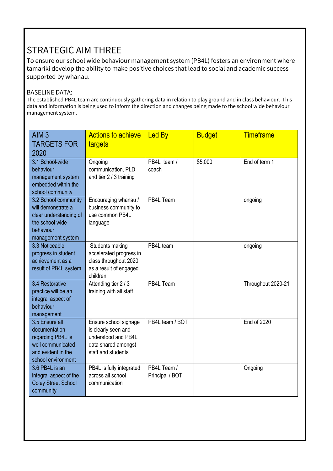## STRATEGIC AIM THREE

To ensure our school wide behaviour management system (PB4L) fosters an environment where tamariki develop the ability to make positive choices that lead to social and academic success supported by whanau.

#### BASELINE DATA:

The established PB4L team are continuously gathering data in relation to play ground and in class behaviour. This data and information is being used to inform the direction and changes being made to the school wide behaviour management system.

| AlM <sub>3</sub><br><b>TARGETS FOR</b><br>2020                                                                            | <b>Actions to achieve</b><br>targets                                                                             | <b>Led By</b>                  | <b>Budget</b> | <b>Timeframe</b>   |
|---------------------------------------------------------------------------------------------------------------------------|------------------------------------------------------------------------------------------------------------------|--------------------------------|---------------|--------------------|
| 3.1 School-wide<br>behaviour<br>management system<br>embedded within the<br>school community                              | Ongoing<br>communication, PLD<br>and tier 2 / 3 training                                                         | PB4L team /<br>coach           | \$5,000       | End of term 1      |
| 3.2 School community<br>will demonstrate a<br>clear understanding of<br>the school wide<br>behaviour<br>management system | Encouraging whanau /<br>business community to<br>use common PB4L<br>language                                     | PB4L Team                      |               | ongoing            |
| 3.3 Noticeable<br>progress in student<br>achievement as a<br>result of PB4L system                                        | Students making<br>accelerated progress in<br>class throughout 2020<br>as a result of engaged<br>children        | PB4L team                      |               | ongoing            |
| 3.4 Restorative<br>practice will be an<br>integral aspect of<br>behaviour<br>management                                   | Attending tier 2 / 3<br>training with all staff                                                                  | PB4L Team                      |               | Throughout 2020-21 |
| 3.5 Ensure all<br>documentation<br>regarding PB4L is<br>well communicated<br>and evident in the<br>school environment     | Ensure school signage<br>is clearly seen and<br>understood and PB4L<br>data shared amongst<br>staff and students | PB4L team / BOT                |               | <b>End of 2020</b> |
| 3.6 PB4L is an<br>integral aspect of the<br><b>Coley Street School</b><br>community                                       | PB4L is fully integrated<br>across all school<br>communication                                                   | PB4L Team /<br>Principal / BOT |               | Ongoing            |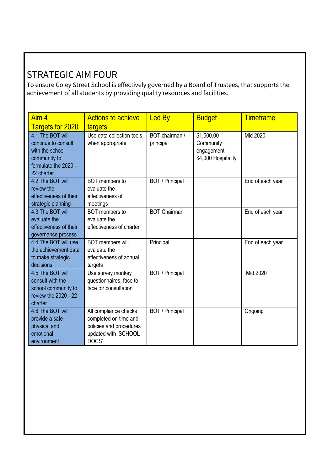## STRATEGIC AIM FOUR

To ensure Coley Street School is effectively governed by a Board of Trustees, that supports the achievement of all students by providing quality resources and facilities.

| Aim 4                                   | <b>Actions to achieve</b>                     | <b>Led By</b>               | <b>Budget</b>                     | <b>Timeframe</b> |
|-----------------------------------------|-----------------------------------------------|-----------------------------|-----------------------------------|------------------|
| <b>Targets for 2020</b>                 | targets                                       |                             |                                   |                  |
| 4.1 The BOT will<br>continue to consult | Use data collection tools<br>when appropriate | BOT chairman /<br>principal | \$1,500.00<br>Community           | Mid 2020         |
| with the school<br>community to         |                                               |                             | engagement<br>\$4,000 Hospitality |                  |
| formulate the $2020 -$<br>22 charter    |                                               |                             |                                   |                  |
| 4.2 The BOT will                        | BOT members to                                | <b>BOT</b> / Principal      |                                   | End of each year |
| review the<br>effectiveness of their    | evaluate the<br>effectiveness of              |                             |                                   |                  |
| strategic planning                      | meetings                                      |                             |                                   |                  |
| 4.3 The BOT will                        | BOT members to                                | <b>BOT Chairman</b>         |                                   | End of each year |
| evaluate the                            | evaluate the                                  |                             |                                   |                  |
| effectiveness of their                  | effectiveness of charter                      |                             |                                   |                  |
| governance process                      |                                               |                             |                                   |                  |
| 4.4 The BOT will use                    | <b>BOT</b> members will                       | Principal                   |                                   | End of each year |
| the achievement data                    | evaluate the                                  |                             |                                   |                  |
| to make strategic<br>decisions          | effectiveness of annual<br>targets            |                             |                                   |                  |
| 4.5 The BOT will                        | Use survey monkey                             | <b>BOT</b> / Principal      |                                   | Mid 2020         |
| consult with the                        | questionnaires, face to                       |                             |                                   |                  |
| school community to                     | face for consultation                         |                             |                                   |                  |
| review the 2020 - 22                    |                                               |                             |                                   |                  |
| charter                                 |                                               |                             |                                   |                  |
| 4.6 The BOT will                        | All compliance checks                         | <b>BOT</b> / Principal      |                                   | Ongoing          |
| provide a safe                          | completed on time and                         |                             |                                   |                  |
| physical and                            | policies and procedures                       |                             |                                   |                  |
| emotional                               | updated with 'SCHOOL                          |                             |                                   |                  |
| environment                             | DOCS'                                         |                             |                                   |                  |